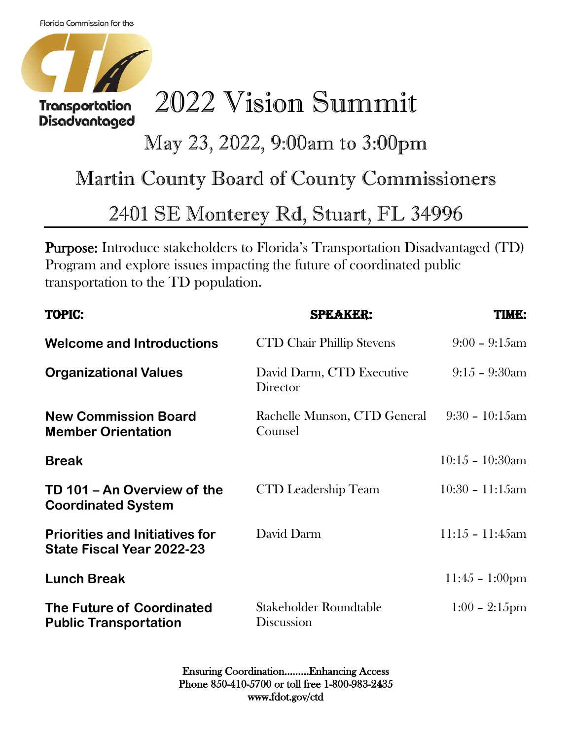Disadvantaged



## 2022 Vision Summit

## May 23, 2022, 9:00am to 3:00pm

## Martin County Board of County Commissioners

## 2401 SE Monterey Rd, Stuart, FL 34996

Purpose: Introduce stakeholders to Florida's Transportation Disadvantaged (TD) Program and explore issues impacting the future of coordinated public transportation to the TD population.

| <b>TOPIC:</b>                                                      | <b>SPEAKER:</b>                         | <b>TIME:</b>             |
|--------------------------------------------------------------------|-----------------------------------------|--------------------------|
| <b>Welcome and Introductions</b>                                   | <b>CTD Chair Phillip Stevens</b>        | $9:00 - 9:15$ am         |
| <b>Organizational Values</b>                                       | David Darm, CTD Executive<br>Director   | $9:15 - 9:30$ am         |
| <b>New Commission Board</b><br><b>Member Orientation</b>           | Rachelle Munson, CTD General<br>Counsel | $9:30 - 10:15$ am        |
| <b>Break</b>                                                       |                                         | $10:15 - 10:30am$        |
| TD 101 - An Overview of the<br><b>Coordinated System</b>           | <b>CTD</b> Leadership Team              | $10:30 - 11:15$ am       |
| <b>Priorities and Initiatives for</b><br>State Fiscal Year 2022-23 | David Darm                              | $11:15 - 11:45am$        |
| <b>Lunch Break</b>                                                 |                                         | $11:45 - 1:00 \text{pm}$ |
| <b>The Future of Coordinated</b><br><b>Public Transportation</b>   | Stakeholder Roundtable<br>Discussion    | $1:00 - 2:15$ pm         |

Ensuring Coordination………Enhancing Access Phone 850-410-5700 or toll free 1-800-983-2435 www.fdot.gov/ctd